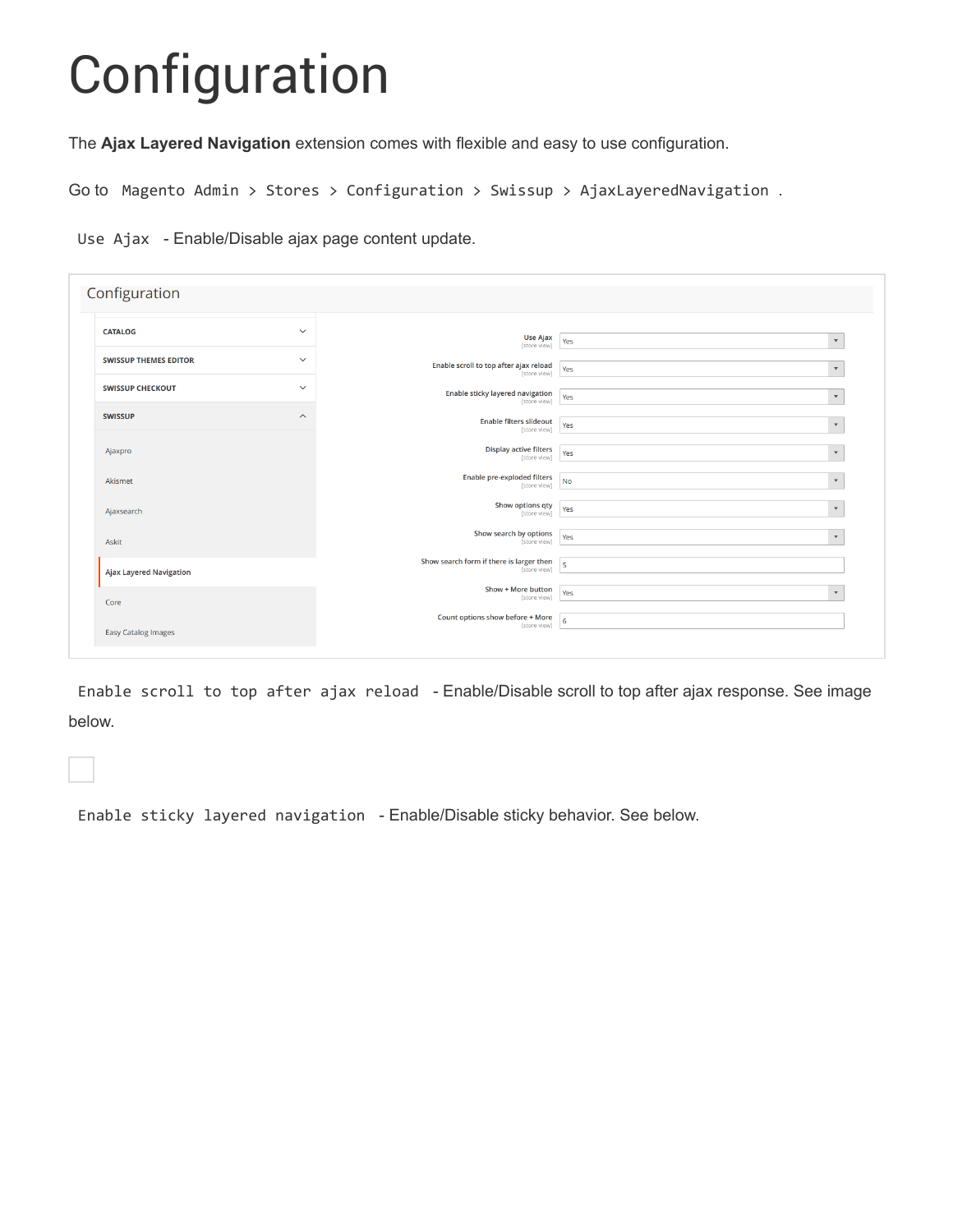## Configuration

The **Ajax Layered Navigation** extension comes with flexible and easy to use configuration.

Go to Magento Admin > Stores > Configuration > Swissup > AjaxLayeredNavigation .

Use Ajax - Enable/Disable ajax page content update.

| Configuration                  |                         |                                                          |                                 |
|--------------------------------|-------------------------|----------------------------------------------------------|---------------------------------|
| <b>CATALOG</b>                 | $\checkmark$            | Use Ajax<br>[store view]                                 | $\scriptstyle\rm v$<br>Yes      |
| <b>SWISSUP THEMES EDITOR</b>   | $\checkmark$            | Enable scroll to top after ajax reload<br>[store view]   | Yes<br>$\overline{\mathbf{v}}$  |
| <b>SWISSUP CHECKOUT</b>        | $\checkmark$            | Enable sticky layered navigation<br>[store view]         | $\overline{\mathbf{v}}$<br>Yes  |
| <b>SWISSUP</b>                 | $\widehat{\phantom{a}}$ | <b>Enable filters slideout</b><br>[store view]           | $\overline{\mathbf{v}}$<br>Yes  |
| Ajaxpro                        |                         | <b>Display active filters</b><br>[store view]            | $\pmb{\mathrm{v}}$<br>Yes       |
| Akismet                        |                         | <b>Enable pre-exploded filters</b><br>[store view]       | <b>No</b><br>$\pmb{\mathrm{v}}$ |
| Ajaxsearch                     |                         | <b>Show options qty</b><br>[store view]                  | $\bar{\mathbf{v}}$<br>Yes       |
| Askit                          |                         | <b>Show search by options</b><br>[store view]            | Yes<br>$\mathbf{v}$             |
| <b>Ajax Layered Navigation</b> |                         | Show search form if there is larger then<br>[store view] | $\overline{5}$                  |
| Core                           |                         | Show + More button<br>[store view]                       | Yes<br>$\mathbf{v}$             |
| <b>Easy Catalog Images</b>     |                         | Count options show before + More<br>[store view]         | 6                               |
|                                |                         |                                                          |                                 |

Enable scroll to top after ajax reload - Enable/Disable scroll to top after ajax response. See image below.

Enable sticky layered navigation - Enable/Disable sticky behavior. See below.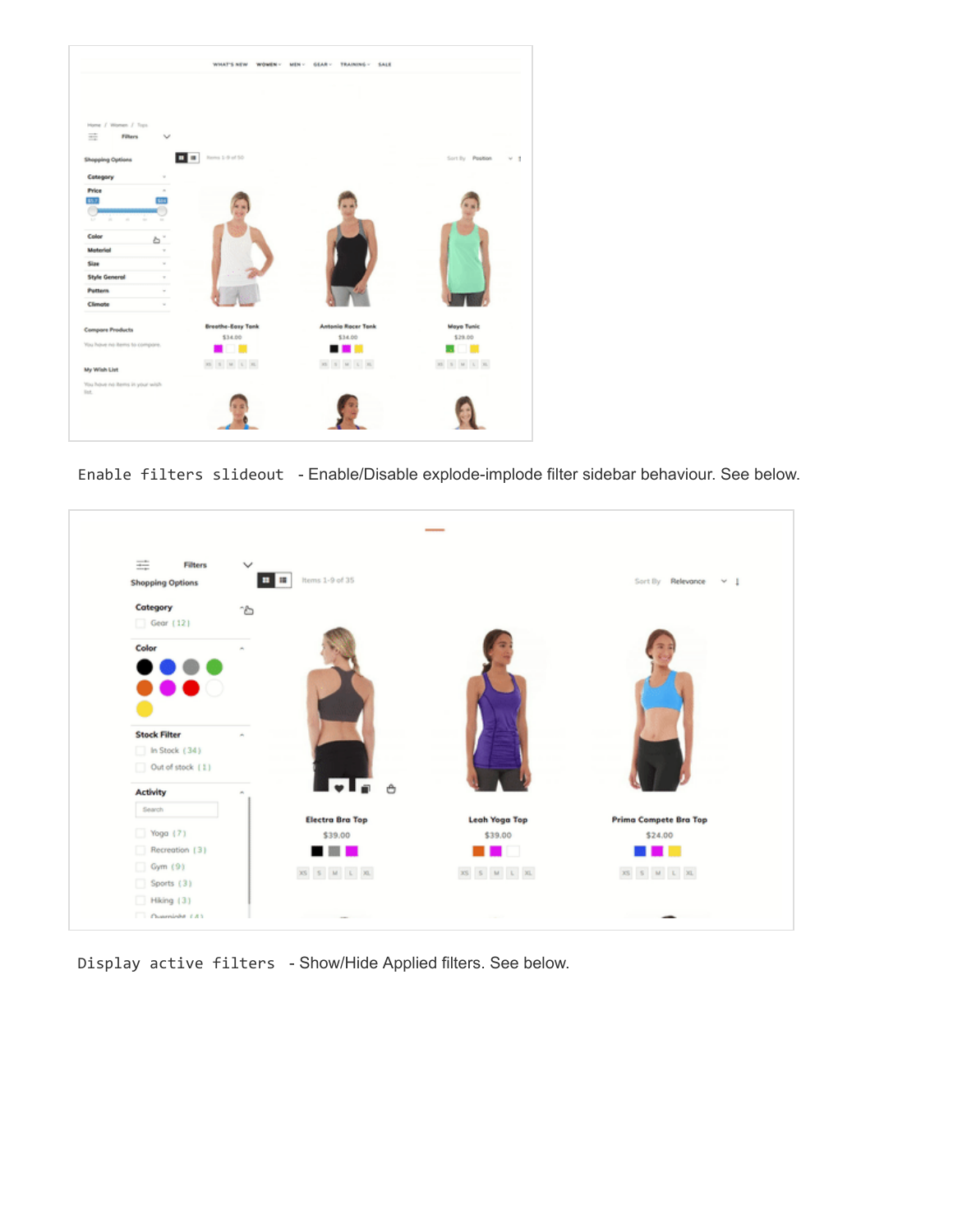

Enable filters slideout - Enable/Disable explode-implode filter sidebar behaviour. See below.



Display active filters - Show/Hide Applied filters. See below.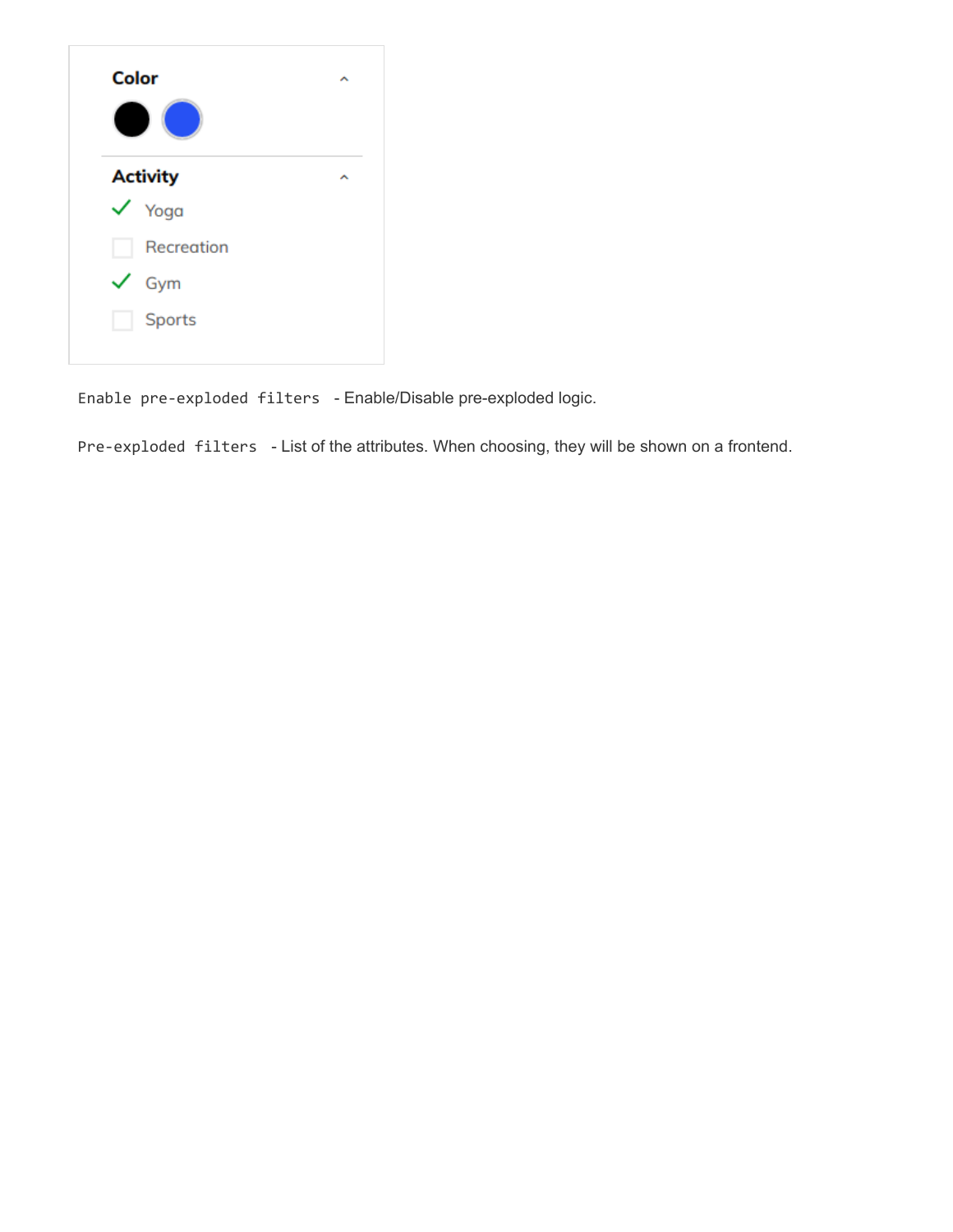Enable pre-exploded filters - Enable/Disable pre-exploded logic.

Pre-exploded filters - List of the attributes. When choosing, they will be shown on a frontend.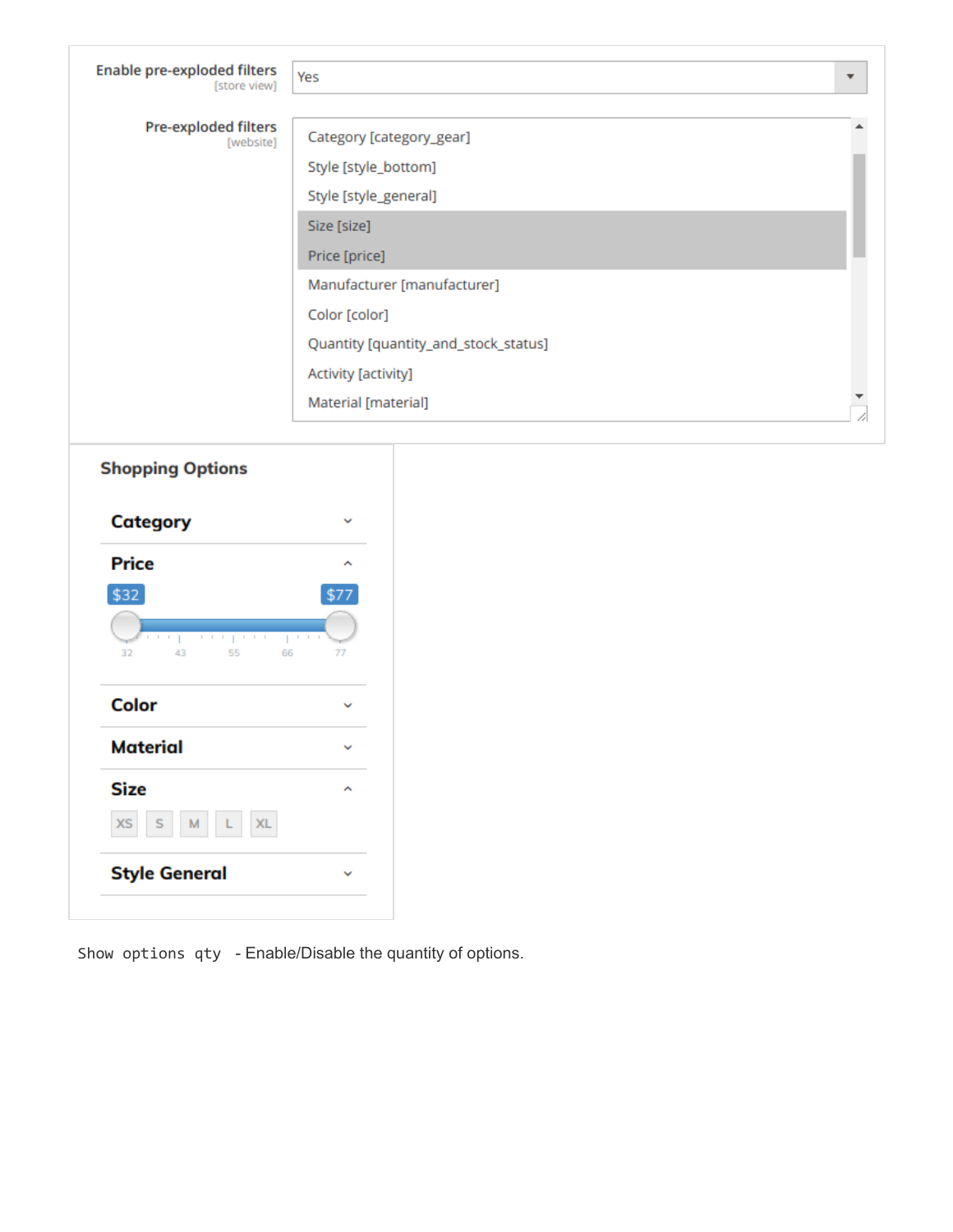| <b>Enable pre-exploded filters</b><br>[store view] | Yes                                  | $\overline{\mathbf{v}}$ |
|----------------------------------------------------|--------------------------------------|-------------------------|
| <b>Pre-exploded filters</b><br>[website]           | Category [category_gear]             |                         |
|                                                    | Style [style_bottom]                 |                         |
|                                                    | Style [style_general]                |                         |
|                                                    | Size [size]                          |                         |
|                                                    | Price [price]                        |                         |
|                                                    | Manufacturer [manufacturer]          |                         |
|                                                    | Color [color]                        |                         |
|                                                    | Quantity [quantity_and_stock_status] |                         |
|                                                    | Activity [activity]                  |                         |
|                                                    | Material [material]                  |                         |

## **Shopping Options**

| <b>Category</b>                                                                                                                                    |                               |
|----------------------------------------------------------------------------------------------------------------------------------------------------|-------------------------------|
| <b>Price</b>                                                                                                                                       |                               |
| \$32                                                                                                                                               | \$77                          |
| $\vert \cdot \vert + \vert - \vert$<br>$\vert \cdot \vert + \vert \cdot \vert$<br>$\pm$ - $\pm$ - $\pm$<br>Ï<br>$\pm$<br>Ï<br>32<br>43<br>55<br>66 | $\mathbb{I}=\mathbb{I}$<br>77 |
| Color                                                                                                                                              |                               |
| <b>Material</b>                                                                                                                                    |                               |
| <b>Size</b>                                                                                                                                        | ∼                             |
| $\mathbf{L}$<br>XL.<br>M.<br><b>XS</b><br>S                                                                                                        |                               |
| <b>Style General</b>                                                                                                                               |                               |

Show options qty - Enable/Disable the quantity of options.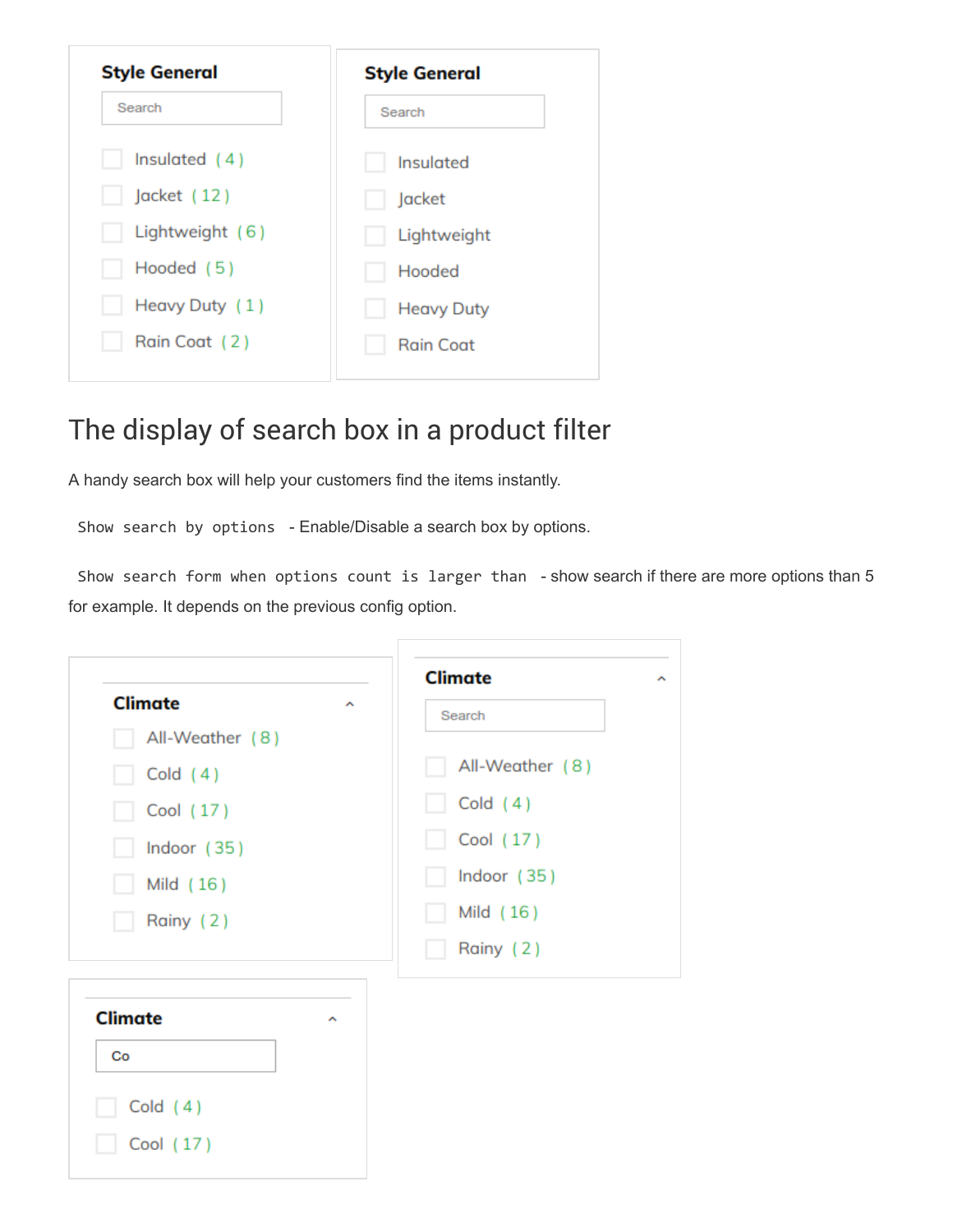| <b>Style General</b> | <b>Style General</b> |  |
|----------------------|----------------------|--|
| Search               | Search               |  |
| Insulated $(4)$      | Insulated            |  |
| Jacket (12)          | Jacket               |  |
| Lightweight (6)      | Lightweight          |  |
| Hooded (5)           | Hooded               |  |
| Heavy Duty (1)       | <b>Heavy Duty</b>    |  |
| Rain Coat (2)        | <b>Rain Coat</b>     |  |

## The display of search box in a product filter

A handy search box will help your customers find the items instantly.

Show search by options - Enable/Disable a search box by options.

Show search form when options count is larger than - show search if there are more options than 5 for example. It depends on the previous config option.

|                     | <b>Climate</b>  |
|---------------------|-----------------|
| <b>Climate</b><br>∼ | Search          |
| All-Weather (8)     |                 |
| Cold $(4)$          | All-Weather (8) |
| Cool (17)           | Cold $(4)$      |
| Indoor (35)         | Cool (17)       |
| Mild (16)           | Indoor (35)     |
| Rainy (2)           | Mild (16)       |
|                     | Rainy (2)       |
| <b>Climate</b><br>× |                 |
| Co                  |                 |
| Cold $(4)$          |                 |
| Cool (17)           |                 |